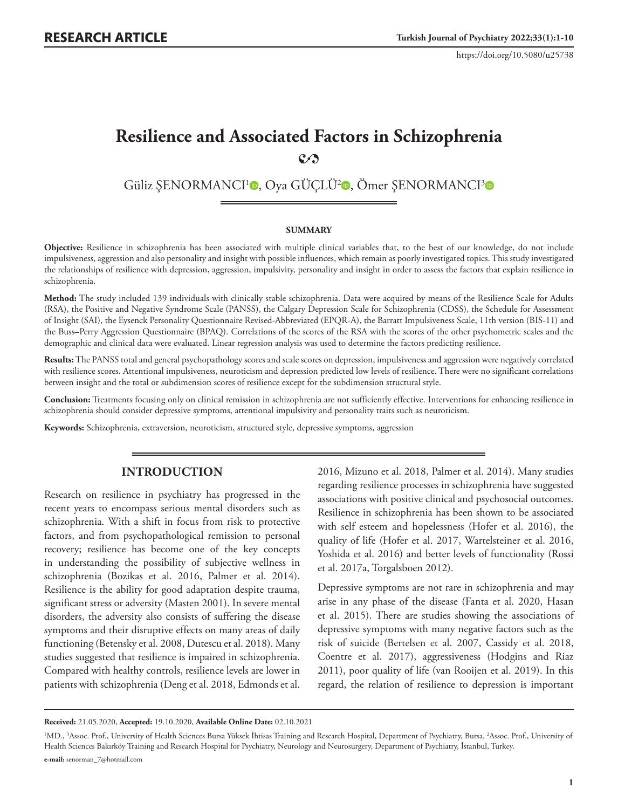https://doi.org/10.5080/u25738

# **Resilience and Associated Factors in Schizophrenia 2**

Güliz ŞENORMANCI<sup>[1](https://orcid.org/0000-0001-8000-0075)</sup><sup>®</sup>, Oya GÜÇLÜ<sup>2</sup>®, Ömer ŞENORMANCI<sup>[3](https://orcid.org/0000-0002-1407-4911)</sup>®

### **SUMMARY**

**Objective:** Resilience in schizophrenia has been associated with multiple clinical variables that, to the best of our knowledge, do not include impulsiveness, aggression and also personality and insight with possible influences, which remain as poorly investigated topics. This study investigated the relationships of resilience with depression, aggression, impulsivity, personality and insight in order to assess the factors that explain resilience in schizophrenia.

**Method:** The study included 139 individuals with clinically stable schizophrenia. Data were acquired by means of the Resilience Scale for Adults (RSA), the Positive and Negative Syndrome Scale (PANSS), the Calgary Depression Scale for Schizophrenia (CDSS), the Schedule for Assessment of Insight (SAI), the Eysenck Personality Questionnaire Revised-Abbreviated (EPQR-A), the Barratt Impulsiveness Scale, 11th version (BIS-11) and the Buss–Perry Aggression Questionnaire (BPAQ). Correlations of the scores of the RSA with the scores of the other psychometric scales and the demographic and clinical data were evaluated. Linear regression analysis was used to determine the factors predicting resilience.

**Results:** The PANSS total and general psychopathology scores and scale scores on depression, impulsiveness and aggression were negatively correlated with resilience scores. Attentional impulsiveness, neuroticism and depression predicted low levels of resilience. There were no significant correlations between insight and the total or subdimension scores of resilience except for the subdimension structural style.

**Conclusion:** Treatments focusing only on clinical remission in schizophrenia are not sufficiently effective. Interventions for enhancing resilience in schizophrenia should consider depressive symptoms, attentional impulsivity and personality traits such as neuroticism.

**Keywords:** Schizophrenia, extraversion, neuroticism, structured style, depressive symptoms, aggression

# **INTRODUCTION**

Research on resilience in psychiatry has progressed in the recent years to encompass serious mental disorders such as schizophrenia. With a shift in focus from risk to protective factors, and from psychopathological remission to personal recovery; resilience has become one of the key concepts in understanding the possibility of subjective wellness in schizophrenia (Bozikas et al. 2016, Palmer et al. 2014). Resilience is the ability for good adaptation despite trauma, significant stress or adversity (Masten 2001). In severe mental disorders, the adversity also consists of suffering the disease symptoms and their disruptive effects on many areas of daily functioning (Betensky et al. 2008, Dutescu et al. 2018). Many studies suggested that resilience is impaired in schizophrenia. Compared with healthy controls, resilience levels are lower in patients with schizophrenia (Deng et al. 2018, Edmonds et al.

2016, Mizuno et al. 2018, Palmer et al. 2014). Many studies regarding resilience processes in schizophrenia have suggested associations with positive clinical and psychosocial outcomes. Resilience in schizophrenia has been shown to be associated with self esteem and hopelessness (Hofer et al. 2016), the quality of life (Hofer et al. 2017, Wartelsteiner et al. 2016, Yoshida et al. 2016) and better levels of functionality (Rossi et al. 2017a, Torgalsboen 2012).

Depressive symptoms are not rare in schizophrenia and may arise in any phase of the disease (Fanta et al. 2020, Hasan et al. 2015). There are studies showing the associations of depressive symptoms with many negative factors such as the risk of suicide (Bertelsen et al. 2007, Cassidy et al. 2018, Coentre et al. 2017), aggressiveness (Hodgins and Riaz 2011), poor quality of life (van Rooijen et al. 2019). In this regard, the relation of resilience to depression is important

**Received:** 21.05.2020, **Accepted:** 19.10.2020, **Available Online Date:** 02.10.2021

<sup>&</sup>lt;sup>1</sup>MD., <sup>3</sup>Assoc. Prof., University of Health Sciences Bursa Yüksek İhtisas Training and Research Hospital, Department of Psychiatry, Bursa, <sup>2</sup>Assoc. Prof., University of Health Sciences Bakırköy Training and Research Hospital for Psychiatry, Neurology and Neurosurgery, Department of Psychiatry, İstanbul, Turkey. **e-mail:** senorman\_7@hotmail.com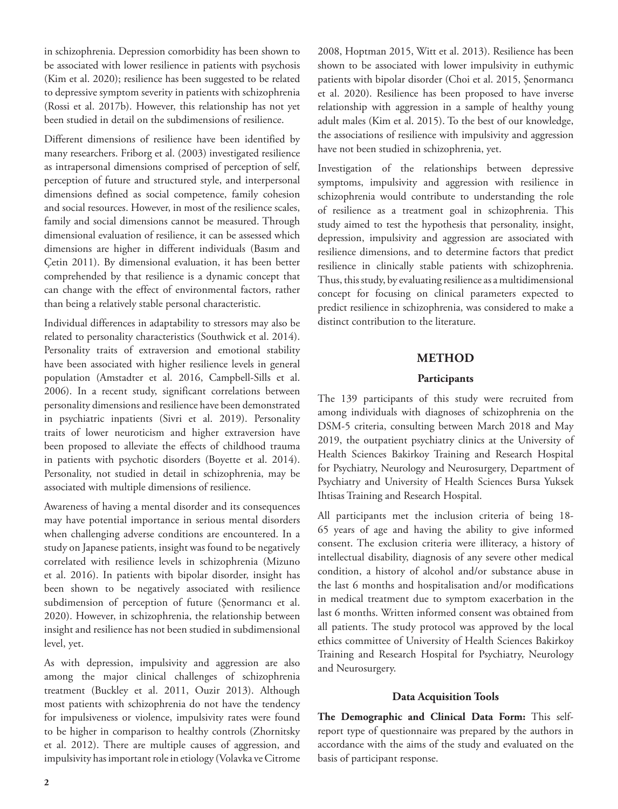in schizophrenia. Depression comorbidity has been shown to be associated with lower resilience in patients with psychosis (Kim et al. 2020); resilience has been suggested to be related to depressive symptom severity in patients with schizophrenia (Rossi et al. 2017b). However, this relationship has not yet been studied in detail on the subdimensions of resilience.

Different dimensions of resilience have been identified by many researchers. Friborg et al. (2003) investigated resilience as intrapersonal dimensions comprised of perception of self, perception of future and structured style, and interpersonal dimensions defined as social competence, family cohesion and social resources. However, in most of the resilience scales, family and social dimensions cannot be measured. Through dimensional evaluation of resilience, it can be assessed which dimensions are higher in different individuals (Basım and Çetin 2011). By dimensional evaluation, it has been better comprehended by that resilience is a dynamic concept that can change with the effect of environmental factors, rather than being a relatively stable personal characteristic.

Individual differences in adaptability to stressors may also be related to personality characteristics (Southwick et al. 2014). Personality traits of extraversion and emotional stability have been associated with higher resilience levels in general population (Amstadter et al. 2016, Campbell-Sills et al. 2006). In a recent study, significant correlations between personality dimensions and resilience have been demonstrated in psychiatric inpatients (Sivri et al. 2019). Personality traits of lower neuroticism and higher extraversion have been proposed to alleviate the effects of childhood trauma in patients with psychotic disorders (Boyette et al. 2014). Personality, not studied in detail in schizophrenia, may be associated with multiple dimensions of resilience.

Awareness of having a mental disorder and its consequences may have potential importance in serious mental disorders when challenging adverse conditions are encountered. In a study on Japanese patients, insight was found to be negatively correlated with resilience levels in schizophrenia (Mizuno et al. 2016). In patients with bipolar disorder, insight has been shown to be negatively associated with resilience subdimension of perception of future (Şenormancı et al. 2020). However, in schizophrenia, the relationship between insight and resilience has not been studied in subdimensional level, yet.

As with depression, impulsivity and aggression are also among the major clinical challenges of schizophrenia treatment (Buckley et al. 2011, Ouzir 2013). Although most patients with schizophrenia do not have the tendency for impulsiveness or violence, impulsivity rates were found to be higher in comparison to healthy controls (Zhornitsky et al. 2012). There are multiple causes of aggression, and impulsivity has important role in etiology (Volavka ve Citrome

2008, Hoptman 2015, Witt et al. 2013). Resilience has been shown to be associated with lower impulsivity in euthymic patients with bipolar disorder (Choi et al. 2015, Şenormancı et al. 2020). Resilience has been proposed to have inverse relationship with aggression in a sample of healthy young adult males (Kim et al. 2015). To the best of our knowledge, the associations of resilience with impulsivity and aggression have not been studied in schizophrenia, yet.

Investigation of the relationships between depressive symptoms, impulsivity and aggression with resilience in schizophrenia would contribute to understanding the role of resilience as a treatment goal in schizophrenia. This study aimed to test the hypothesis that personality, insight, depression, impulsivity and aggression are associated with resilience dimensions, and to determine factors that predict resilience in clinically stable patients with schizophrenia. Thus, this study, by evaluating resilience as a multidimensional concept for focusing on clinical parameters expected to predict resilience in schizophrenia, was considered to make a distinct contribution to the literature.

# **METHOD**

### **Participants**

The 139 participants of this study were recruited from among individuals with diagnoses of schizophrenia on the DSM-5 criteria, consulting between March 2018 and May 2019, the outpatient psychiatry clinics at the University of Health Sciences Bakirkoy Training and Research Hospital for Psychiatry, Neurology and Neurosurgery, Department of Psychiatry and University of Health Sciences Bursa Yuksek Ihtisas Training and Research Hospital.

All participants met the inclusion criteria of being 18- 65 years of age and having the ability to give informed consent. The exclusion criteria were illiteracy, a history of intellectual disability, diagnosis of any severe other medical condition, a history of alcohol and/or substance abuse in the last 6 months and hospitalisation and/or modifications in medical treatment due to symptom exacerbation in the last 6 months. Written informed consent was obtained from all patients. The study protocol was approved by the local ethics committee of University of Health Sciences Bakirkoy Training and Research Hospital for Psychiatry, Neurology and Neurosurgery.

### **Data Acquisition Tools**

**The Demographic and Clinical Data Form:** This selfreport type of questionnaire was prepared by the authors in accordance with the aims of the study and evaluated on the basis of participant response.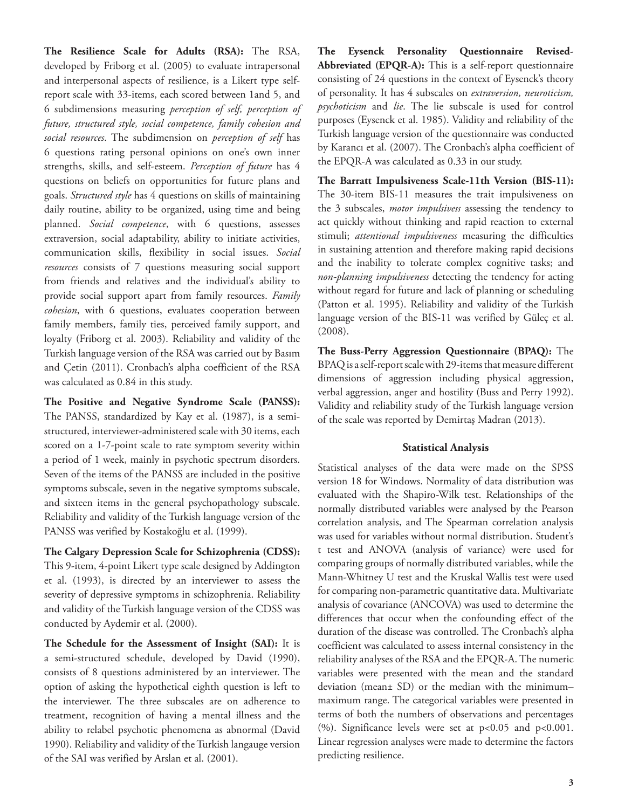**The Resilience Scale for Adults (RSA):** The RSA, developed by Friborg et al. (2005) to evaluate intrapersonal and interpersonal aspects of resilience, is a Likert type selfreport scale with 33-items, each scored between 1and 5, and 6 subdimensions measuring *perception of self, perception of future, structured style, social competence, family cohesion and social resources*. The subdimension on *perception of self* has 6 questions rating personal opinions on one's own inner strengths, skills, and self-esteem. *Perception of future* has 4 questions on beliefs on opportunities for future plans and goals. *Structured style* has 4 questions on skills of maintaining daily routine, ability to be organized, using time and being planned. *Social competence*, with 6 questions, assesses extraversion, social adaptability, ability to initiate activities, communication skills, flexibility in social issues. *Social resources* consists of 7 questions measuring social support from friends and relatives and the individual's ability to provide social support apart from family resources. *Family cohesion*, with 6 questions, evaluates cooperation between family members, family ties, perceived family support, and loyalty (Friborg et al. 2003). Reliability and validity of the Turkish language version of the RSA was carried out by Basım and Çetin (2011). Cronbach's alpha coefficient of the RSA was calculated as 0.84 in this study.

**The Positive and Negative Syndrome Scale (PANSS):**  The PANSS, standardized by Kay et al. (1987), is a semistructured, interviewer-administered scale with 30 items, each scored on a 1-7-point scale to rate symptom severity within a period of 1 week, mainly in psychotic spectrum disorders. Seven of the items of the PANSS are included in the positive symptoms subscale, seven in the negative symptoms subscale, and sixteen items in the general psychopathology subscale. Reliability and validity of the Turkish language version of the PANSS was verified by Kostakoğlu et al. (1999).

**The Calgary Depression Scale for Schizophrenia (CDSS):**  This 9-item, 4-point Likert type scale designed by Addington et al. (1993), is directed by an interviewer to assess the severity of depressive symptoms in schizophrenia. Reliability and validity of the Turkish language version of the CDSS was conducted by Aydemir et al. (2000).

**The Schedule for the Assessment of Insight (SAI):** It is a semi-structured schedule, developed by David (1990), consists of 8 questions administered by an interviewer. The option of asking the hypothetical eighth question is left to the interviewer. The three subscales are on adherence to treatment, recognition of having a mental illness and the ability to relabel psychotic phenomena as abnormal (David 1990). Reliability and validity of the Turkish langauge version of the SAI was verified by Arslan et al. (2001).

**The Eysenck Personality Questionnaire Revised-Abbreviated (EPQR-A):** This is a self-report questionnaire consisting of 24 questions in the context of Eysenck's theory of personality. It has 4 subscales on *extraversion, neuroticism, psychoticism* and *lie*. The lie subscale is used for control purposes (Eysenck et al. 1985). Validity and reliability of the Turkish language version of the questionnaire was conducted by Karancı et al. (2007). The Cronbach's alpha coefficient of the EPQR-A was calculated as 0.33 in our study.

**The Barratt Impulsiveness Scale-11th Version (BIS-11):**  The 30-item BIS-11 measures the trait impulsiveness on the 3 subscales, *motor impulsivess* assessing the tendency to act quickly without thinking and rapid reaction to external stimuli; *attentional impulsiveness* measuring the difficulties in sustaining attention and therefore making rapid decisions and the inability to tolerate complex cognitive tasks; and *non-planning impulsiveness* detecting the tendency for acting without regard for future and lack of planning or scheduling (Patton et al. 1995). Reliability and validity of the Turkish language version of the BIS-11 was verified by Güleç et al. (2008).

**The Buss-Perry Aggression Questionnaire (BPAQ):** The BPAQ is a self-report scale with 29-items that measure different dimensions of aggression including physical aggression, verbal aggression, anger and hostility (Buss and Perry 1992). Validity and reliability study of the Turkish language version of the scale was reported by Demirtaş Madran (2013).

### **Statistical Analysis**

Statistical analyses of the data were made on the SPSS version 18 for Windows. Normality of data distribution was evaluated with the Shapiro-Wilk test. Relationships of the normally distributed variables were analysed by the Pearson correlation analysis, and The Spearman correlation analysis was used for variables without normal distribution. Student's t test and ANOVA (analysis of variance) were used for comparing groups of normally distributed variables, while the Mann-Whitney U test and the Kruskal Wallis test were used for comparing non-parametric quantitative data. Multivariate analysis of covariance (ANCOVA) was used to determine the differences that occur when the confounding effect of the duration of the disease was controlled. The Cronbach's alpha coefficient was calculated to assess internal consistency in the reliability analyses of the RSA and the EPQR-A. The numeric variables were presented with the mean and the standard deviation (mean± SD) or the median with the minimum– maximum range. The categorical variables were presented in terms of both the numbers of observations and percentages (%). Significance levels were set at p<0.05 and p<0.001. Linear regression analyses were made to determine the factors predicting resilience.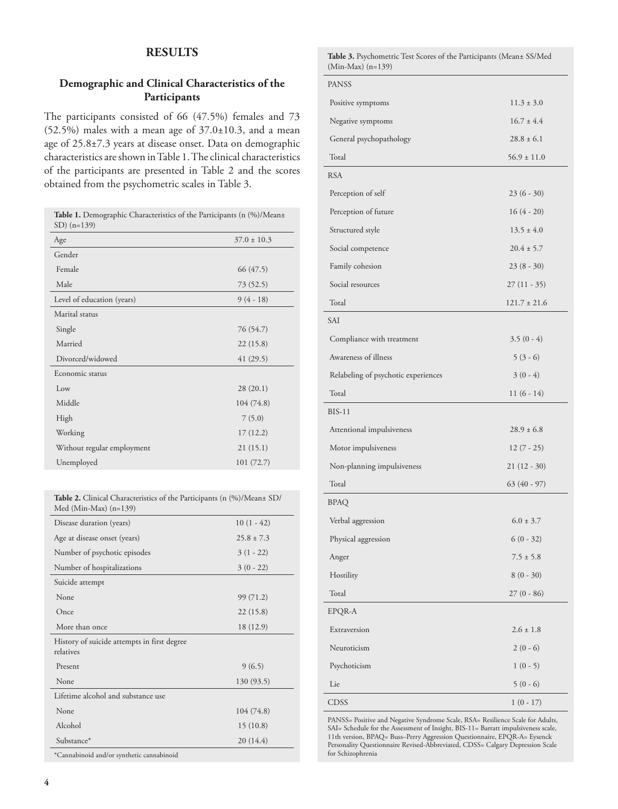# **RESULTS**

# **Demographic and Clinical Characteristics of the Participants**

The participants consisted of 66 (47.5%) females and 73 (52.5%) males with a mean age of  $37.0\pm10.3$ , and a mean age of 25.8±7.3 years at disease onset. Data on demographic characteristics are shown in Table 1. The clinical characteristics of the participants are presented in Table 2 and the scores obtained from the psychometric scales in Table 3.

| <b>Table 1.</b> Demographic Characteristics of the Participants ( $n$ (%)/Mean $\pm$<br>$SD($ n=139) |  |  |  |  |  |
|------------------------------------------------------------------------------------------------------|--|--|--|--|--|
| $37.0 \pm 10.3$                                                                                      |  |  |  |  |  |
|                                                                                                      |  |  |  |  |  |
| 66 (47.5)                                                                                            |  |  |  |  |  |
| 73 (52.5)                                                                                            |  |  |  |  |  |
| $9(4-18)$                                                                                            |  |  |  |  |  |
|                                                                                                      |  |  |  |  |  |
| 76 (54.7)                                                                                            |  |  |  |  |  |
| 22(15.8)                                                                                             |  |  |  |  |  |
| 41(29.5)                                                                                             |  |  |  |  |  |
|                                                                                                      |  |  |  |  |  |
| 28(20.1)                                                                                             |  |  |  |  |  |
| 104(74.8)                                                                                            |  |  |  |  |  |
| 7(5.0)                                                                                               |  |  |  |  |  |
| 17(12.2)                                                                                             |  |  |  |  |  |
| 21(15.1)                                                                                             |  |  |  |  |  |
| 101(72.7)                                                                                            |  |  |  |  |  |
|                                                                                                      |  |  |  |  |  |

| <b>Table 2.</b> Clinical Characteristics of the Participants (n (%)/Mean± SD/<br>Med (Min-Max) $(n=139)$ |                |
|----------------------------------------------------------------------------------------------------------|----------------|
| Disease duration (years)                                                                                 | $10(1 - 42)$   |
| Age at disease onset (years)                                                                             | $25.8 \pm 7.3$ |
| Number of psychotic episodes                                                                             | $3(1 - 22)$    |
| Number of hospitalizations                                                                               | $3(0 - 22)$    |
| Suicide attempt                                                                                          |                |
| None                                                                                                     | 99 (71.2)      |
| Once                                                                                                     | 22(15.8)       |
| More than once                                                                                           | 18 (12.9)      |
| History of suicide attempts in first degree<br>relatives                                                 |                |
| Present                                                                                                  | 9(6.5)         |
| None                                                                                                     | 130 (93.5)     |
| Lifetime alcohol and substance use                                                                       |                |
| None                                                                                                     | 104 (74.8)     |
| Alcohol                                                                                                  | 15(10.8)       |
| Substance*                                                                                               | 20 (14.4)      |
| *Cannabinoid and/or synthetic cannabinoid                                                                |                |

**Table 3.** Psychometric Test Scores of the Participants (Mean± SS/Med  $(Min-Max)(n=139)$ 

| <b>PANSS</b>                        |                  |
|-------------------------------------|------------------|
| Positive symptoms                   | $11.3 \pm 3.0$   |
| Negative symptoms                   | $16.7 \pm 4.4$   |
| General psychopathology             | $28.8 \pm 6.1$   |
| Total                               | $56.9 \pm 11.0$  |
| <b>RSA</b>                          |                  |
| Perception of self                  | $23(6 - 30)$     |
| Perception of future                | $16(4-20)$       |
| Structured style                    | $13.5 \pm 4.0$   |
| Social competence                   | $20.4 \pm 5.7$   |
| Family cohesion                     | $23(8 - 30)$     |
| Social resources                    | 27 (11 - 35)     |
| Total                               | $121.7 \pm 21.6$ |
| SAI                                 |                  |
| Compliance with treatment           | $3.5(0 - 4)$     |
| Awareness of illness                | $5(3-6)$         |
| Relabeling of psychotic experiences | $3(0-4)$         |
| Total                               | $11(6-14)$       |
| $BIS-11$                            |                  |
| Attentional impulsiveness           | $28.9 \pm 6.8$   |
| Motor impulsiveness                 | $12(7 - 25)$     |
| Non-planning impulsiveness          | $21(12-30)$      |
| Total                               | $63(40-97)$      |
| <b>BPAQ</b>                         |                  |
| Verbal aggression                   | $6.0 \pm 3.7$    |
| Physical aggression                 | $6(0 - 32)$      |
| Anger                               | $7.5 \pm 5.8$    |
| Hostility                           | $8(0 - 30)$      |
| Total                               | $27(0 - 86)$     |
| EPQR-A                              |                  |
| Extraversion                        | $2.6\pm1.8$      |
| Neuroticism                         | $2(0-6)$         |
| Psychoticism                        | $1(0-5)$         |
| Lie                                 | $5(0-6)$         |
| CDSS                                | $1(0-17)$        |

PANSS= Positive and Negative Syndrome Scale, RSA= Resilience Scale for Adults, SAI= Schedule for the Assessment of Insight, BIS-11= Barratt impulsiveness scale, 11th version, BPAQ= Buss–Perry Aggression Questionnaire, EPQR-A= Eysenck Personality Questionnaire Revised-Abbreviated, CDSS= Calgary Depression Scale for Schizophrenia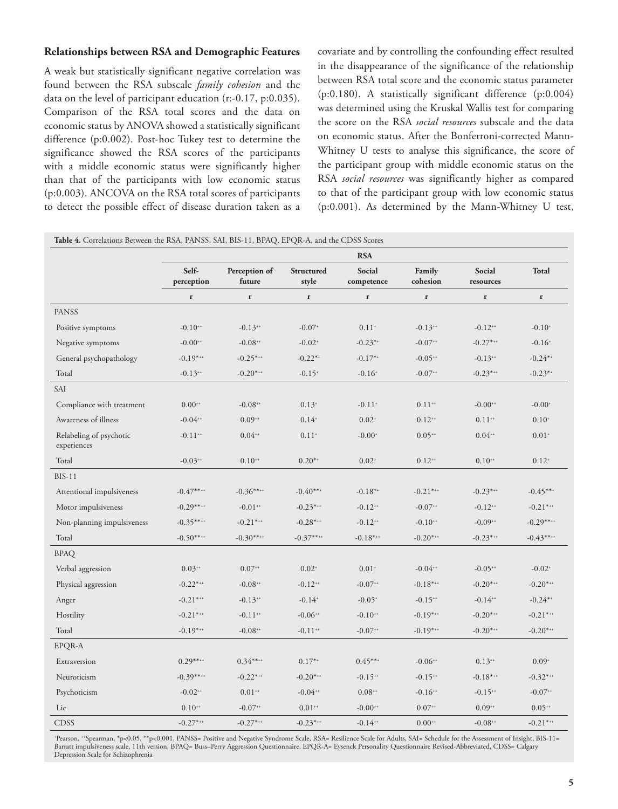### **Relationships between RSA and Demographic Features**

A weak but statistically significant negative correlation was found between the RSA subscale *family cohesion* and the data on the level of participant education (r:-0.17, p:0.035). Comparison of the RSA total scores and the data on economic status by ANOVA showed a statistically significant difference (p:0.002). Post-hoc Tukey test to determine the significance showed the RSA scores of the participants with a middle economic status were significantly higher than that of the participants with low economic status (p:0.003). ANCOVA on the RSA total scores of participants to detect the possible effect of disease duration taken as a

covariate and by controlling the confounding effect resulted in the disappearance of the significance of the relationship between RSA total score and the economic status parameter (p:0.180). A statistically significant difference (p:0.004) was determined using the Kruskal Wallis test for comparing the score on the RSA *social resources* subscale and the data on economic status. After the Bonferroni-corrected Mann-Whitney U tests to analyse this significance, the score of the participant group with middle economic status on the RSA *social resources* was significantly higher as compared to that of the participant group with low economic status (p:0.001). As determined by the Mann-Whitney U test,

|                                        |                     |                         |                       | <b>RSA</b>            |                       |                       |                      |
|----------------------------------------|---------------------|-------------------------|-----------------------|-----------------------|-----------------------|-----------------------|----------------------|
|                                        | Self-<br>perception | Perception of<br>future | Structured<br>style   | Social<br>competence  | Family<br>cohesion    | Social<br>resources   | <b>Total</b>         |
|                                        | $\mathbf{r}$        | $\mathbf{r}$            | $\mathbf r$           | $\mathbf r$           | $\mathbf r$           | $\mathbf{r}$          | $\mathbf r$          |
| <b>PANSS</b>                           |                     |                         |                       |                       |                       |                       |                      |
| Positive symptoms                      | $-0.10**$           | $-0.13$ <sup>**</sup>   | $-0.07+$              | $0.11*$               | $-0.13^{++}$          | $-0.12$ <sup>**</sup> | $-0.10+$             |
| Negative symptoms                      | $-0.00**$           | $-0.08**$               | $-0.02$ <sup>+</sup>  | $-0.23**$             | $-0.07**$             | $-0.27***$            | $-0.16+$             |
| General psychopathology                | $-0.19***$          | $-0.25***$              | $-0.22**$             | $-0.17**$             | $-0.05^{++}$          | $-0.13^{++}$          | $-0.24**$            |
| Total                                  | $-0.13^{++}$        | $-0.20***$              | $-0.15+$              | $-0.16*$              | $-0.07**$             | $-0.23***$            | $-0.23**$            |
| SAI                                    |                     |                         |                       |                       |                       |                       |                      |
| Compliance with treatment              | $0.00**$            | $-0.08**$               | $0.13*$               | $-0.11$ <sup>+</sup>  | $0.11**$              | $-0.00**$             | $-0.00^+$            |
| Awareness of illness                   | $-0.04**$           | $0.09**$                | $0.14*$               | $0.02^*$              | $0.12**$              | $0.11**$              | $0.10*$              |
| Relabeling of psychotic<br>experiences | $-0.11**$           | $0.04**$                | $0.11*$               | $-0.00*$              | $0.05**$              | $0.04**$              | $0.01*$              |
| Total                                  | $-0.03**$           | $0.10**$                | $0.20**$              | $0.02*$               | $0.12**$              | $0.10**$              | $0.12*$              |
| <b>BIS-11</b>                          |                     |                         |                       |                       |                       |                       |                      |
| Attentional impulsiveness              | $-0.47***$          | $-0.36***$              | $-0.40***$            | $-0.18**$             | $-0.21***$            | $-0.23***$            | $-0.45***$           |
| Motor impulsiveness                    | $-0.29***$          | $-0.01**$               | $-0.23***$            | $-0.12**$             | $-0.07**$             | $-0.12**$             | $-0.21$ ***          |
| Non-planning impulsiveness             | $-0.35***$          | $-0.21***$              | $-0.28***$            | $-0.12**$             | $-0.10**$             | $-0.09^{++}$          | $-0.29***$           |
| Total                                  | $-0.50***$          | $-0.30***$              | $-0.37***$            | $-0.18***$            | $-0.20***$            | $-0.23***$            | $-0.43***$           |
| <b>BPAQ</b>                            |                     |                         |                       |                       |                       |                       |                      |
| Verbal aggression                      | $0.03^{**}$         | $0.07**$                | $0.02^*$              | $0.01*$               | $-0.04**$             | $-0.05^{++}$          | $-0.02$ <sup>+</sup> |
| Physical aggression                    | $-0.22***$          | $-0.08$ <sup>**</sup>   | $-0.12$ <sup>**</sup> | $-0.07**$             | $-0.18***$            | $-0.20***$            | $-0.20***$           |
| Anger                                  | $-0.21***$          | $-0.13$ <sup>**</sup>   | $-0.14+$              | $-0.05+$              | $-0.15^{**}$          | $-0.14**$             | $-0.24**$            |
| Hostility                              | $-0.21***$          | $-0.11$ <sup>++</sup>   | $-0.06**$             | $-0.10**$             | $-0.19***$            | $-0.20***$            | $-0.21***$           |
| Total                                  | $-0.19***$          | $-0.08^{++}$            | $-0.11$ <sup>++</sup> | $-0.07**$             | $-0.19***$            | $-0.20***$            | $-0.20***$           |
| EPQR-A                                 |                     |                         |                       |                       |                       |                       |                      |
| Extraversion                           | $0.29***$           | $0.34***$               | $0.17**$              | $0.45***$             | $-0.06**$             | $0.13**$              | $0.09*$              |
| Neuroticism                            | $-0.39***$          | $-0.22***$              | $-0.20***$            | $-0.15$ <sup>**</sup> | $-0.15$ <sup>**</sup> | $-0.18***$            | $-0.32***$           |
| Psychoticism                           | $-0.02**$           | $0.01**$                | $-0.04**$             | $0.08**$              | $-0.16$ <sup>**</sup> | $-0.15$ <sup>**</sup> | $-0.07**$            |
| Lie                                    | $0.10**$            | $-0.07**$               | $0.01**$              | $-0.00**$             | $0.07**$              | $0.09**$              | $0.05**$             |
| <b>CDSS</b>                            | $-0.27***$          | $-0.27***$              | $-0.23***$            | $-0.14$ <sup>**</sup> | $0.00**$              | $-0.08^{++}$          | $-0.21***$           |

+ Pearson, ++Spearman, \*p<0.05, \*\*p<0.001, PANSS= Positive and Negative Syndrome Scale, RSA= Resilience Scale for Adults, SAI= Schedule for the Assessment of Insight, BIS-11= Barratt impulsiveness scale, 11th version, BPAQ= Buss–Perry Aggression Questionnaire, EPQR-A= Eysenck Personality Questionnaire Revised-Abbreviated, CDSS= Calgary Depression Scale for Schizophrenia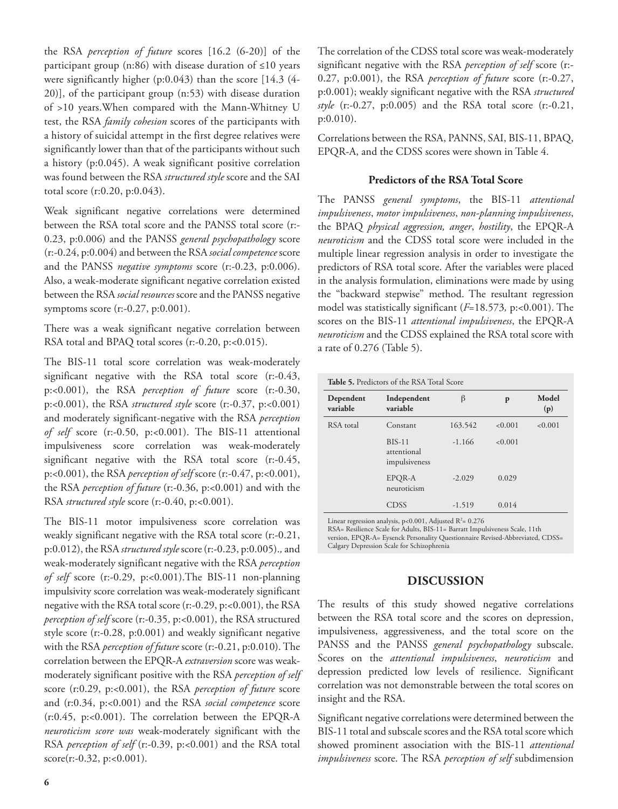the RSA *perception of future* scores [16.2 (6-20)] of the participant group (n:86) with disease duration of  $\leq 10$  years were significantly higher (p:0.043) than the score [14.3 (4- 20)], of the participant group (n:53) with disease duration of >10 years.When compared with the Mann-Whitney U test, the RSA *family cohesion* scores of the participants with a history of suicidal attempt in the first degree relatives were significantly lower than that of the participants without such a history (p:0.045). A weak significant positive correlation was found between the RSA *structured style* score and the SAI total score (r:0.20, p:0.043).

Weak significant negative correlations were determined between the RSA total score and the PANSS total score (r:- 0.23, p:0.006) and the PANSS *general psychopathology* score (r:-0.24, p:0.004) and between the RSA *social competence* score and the PANSS *negative symptoms* score (r:-0.23, p:0.006). Also, a weak-moderate significant negative correlation existed between the RSA *social resources* score and the PANSS negative symptoms score (r:-0.27, p:0.001).

There was a weak significant negative correlation between RSA total and BPAQ total scores (r:-0.20, p:<0.015).

The BIS-11 total score correlation was weak-moderately significant negative with the RSA total score (r:-0.43, p:<0.001), the RSA *perception of future* score (r:-0.30, p:<0.001), the RSA *structured style* score (r:-0.37, p:<0.001) and moderately significant-negative with the RSA *perception of self* score (r:-0.50, p:<0.001). The BIS-11 attentional impulsiveness score correlation was weak-moderately significant negative with the RSA total score (r:-0.45, p:<0.001), the RSA *perception of self* score (r:-0.47, p:<0.001), the RSA *perception of future* (r:-0.36, p:<0.001) and with the RSA *structured style* score (r:-0.40, p:<0.001).

The BIS-11 motor impulsiveness score correlation was weakly significant negative with the RSA total score (r:-0.21, p:0.012), the RSA *structured style* score(r:-0.23, p:0.005).*,* and weak-moderately significant negative with the RSA *perception of self* score (r:-0.29, p:<0.001).The BIS-11 non-planning impulsivity score correlation was weak-moderately significant negative with the RSA total score (r:-0.29, p:<0.001), the RSA *perception of self* score (r:-0.35, p:<0.001), the RSA structured style score (r:-0.28, p:0.001) and weakly significant negative with the RSA *perception of future* score (r:-0.21, p:0.010). The correlation between the EPQR-A *extraversion* score was weakmoderately significant positive with the RSA *perception of self*  score (r:0.29, p:<0.001), the RSA *perception of future* score and (r:0.34, p:<0.001) and the RSA *social competence* score (r:0.45, p:<0.001). The correlation between the EPQR-A *neuroticism score was* weak-moderately significant with the RSA *perception of self* (r:-0.39, p:<0.001) and the RSA total  $score(r:-0.32, p:=0.001)$ .

The correlation of the CDSS total score was weak-moderately significant negative with the RSA *perception of self* score (r:- 0.27, p:0.001), the RSA *perception of future* score (r:-0.27, p:0.001); weakly significant negative with the RSA *structured style* (r:-0.27, p:0.005) and the RSA total score (r:-0.21, p:0.010).

Correlations between the RSA, PANNS, SAI, BIS-11, BPAQ, EPQR-A, and the CDSS scores were shown in Table 4.

### **Predictors of the RSA Total Score**

The PANSS *general symptoms*, the BIS-11 *attentional impulsiveness*, *motor impulsiveness*, *non-planning impulsiveness*, the BPAQ *physical aggression, anger*, *hostility*, the EPQR-A *neuroticism* and the CDSS total score were included in the multiple linear regression analysis in order to investigate the predictors of RSA total score. After the variables were placed in the analysis formulation, eliminations were made by using the "backward stepwise" method. The resultant regression model was statistically significant (*F*=18.573*,* p:<0.001). The scores on the BIS-11 *attentional impulsiveness*, the EPQR-A *neuroticism* and the CDSS explained the RSA total score with a rate of 0.276 (Table 5).

| Table 5. Predictors of the RSA Total Score |                                          |          |         |              |  |  |  |
|--------------------------------------------|------------------------------------------|----------|---------|--------------|--|--|--|
| Dependent<br>variable                      | Independent<br>variable                  | β        | p       | Model<br>(p) |  |  |  |
| RSA total                                  | Constant                                 | 163.542  | < 0.001 | < 0.001      |  |  |  |
|                                            | $BIS-11$<br>attentional<br>impulsiveness | $-1.166$ | < 0.001 |              |  |  |  |
|                                            | EPQR-A<br>neuroticism                    | $-2.029$ | 0.029   |              |  |  |  |
|                                            | <b>CDSS</b>                              | $-1.519$ | 0.014   |              |  |  |  |

Linear regression analysis, p<0.001, Adjusted  $R^2$ = 0.276

RSA= Resilience Scale for Adults, BIS-11= Barratt Impulsiveness Scale, 11th

version, EPQR-A= Eysenck Personality Questionnaire Revised-Abbreviated, CDSS= Calgary Depression Scale for Schizophrenia

# **DISCUSSION**

The results of this study showed negative correlations between the RSA total score and the scores on depression, impulsiveness, aggressiveness, and the total score on the PANSS and the PANSS *general psychopathology* subscale. Scores on the *attentional impulsiveness*, *neuroticism* and depression predicted low levels of resilience. Significant correlation was not demonstrable between the total scores on insight and the RSA.

Significant negative correlations were determined between the BIS-11 total and subscale scores and the RSA total score which showed prominent association with the BIS-11 *attentional impulsiveness* score. The RSA *perception of self* subdimension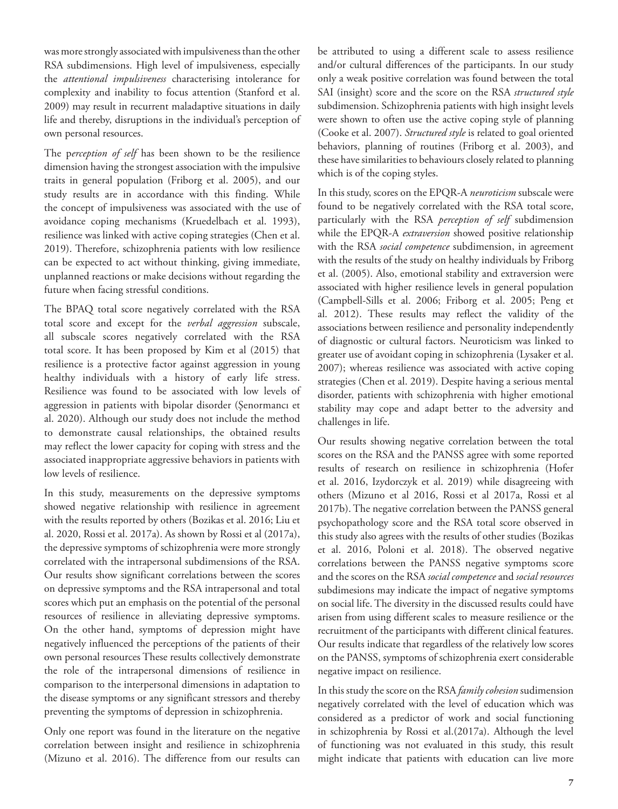was more strongly associated with impulsiveness than the other RSA subdimensions. High level of impulsiveness, especially the *attentional impulsiveness* characterising intolerance for complexity and inability to focus attention (Stanford et al. 2009) may result in recurrent maladaptive situations in daily life and thereby, disruptions in the individual's perception of own personal resources.

The p*erception of self* has been shown to be the resilience dimension having the strongest association with the impulsive traits in general population (Friborg et al. 2005), and our study results are in accordance with this finding. While the concept of impulsiveness was associated with the use of avoidance coping mechanisms (Kruedelbach et al. 1993), resilience was linked with active coping strategies (Chen et al. 2019). Therefore, schizophrenia patients with low resilience can be expected to act without thinking, giving immediate, unplanned reactions or make decisions without regarding the future when facing stressful conditions.

The BPAQ total score negatively correlated with the RSA total score and except for the *verbal aggression* subscale, all subscale scores negatively correlated with the RSA total score. It has been proposed by Kim et al (2015) that resilience is a protective factor against aggression in young healthy individuals with a history of early life stress. Resilience was found to be associated with low levels of aggression in patients with bipolar disorder (Şenormancı et al. 2020). Although our study does not include the method to demonstrate causal relationships, the obtained results may reflect the lower capacity for coping with stress and the associated inappropriate aggressive behaviors in patients with low levels of resilience.

In this study, measurements on the depressive symptoms showed negative relationship with resilience in agreement with the results reported by others (Bozikas et al. 2016; Liu et al. 2020, Rossi et al. 2017a). As shown by Rossi et al (2017a), the depressive symptoms of schizophrenia were more strongly correlated with the intrapersonal subdimensions of the RSA. Our results show significant correlations between the scores on depressive symptoms and the RSA intrapersonal and total scores which put an emphasis on the potential of the personal resources of resilience in alleviating depressive symptoms. On the other hand, symptoms of depression might have negatively influenced the perceptions of the patients of their own personal resources These results collectively demonstrate the role of the intrapersonal dimensions of resilience in comparison to the interpersonal dimensions in adaptation to the disease symptoms or any significant stressors and thereby preventing the symptoms of depression in schizophrenia.

Only one report was found in the literature on the negative correlation between insight and resilience in schizophrenia (Mizuno et al. 2016). The difference from our results can be attributed to using a different scale to assess resilience and/or cultural differences of the participants. In our study only a weak positive correlation was found between the total SAI (insight) score and the score on the RSA *structured style* subdimension. Schizophrenia patients with high insight levels were shown to often use the active coping style of planning (Cooke et al. 2007). *Structured style* is related to goal oriented behaviors, planning of routines (Friborg et al. 2003), and these have similarities to behaviours closely related to planning which is of the coping styles.

In this study, scores on the EPQR-A *neuroticism* subscale were found to be negatively correlated with the RSA total score, particularly with the RSA *perception of self* subdimension while the EPQR-A *extraversion* showed positive relationship with the RSA *social competence* subdimension, in agreement with the results of the study on healthy individuals by Friborg et al. (2005). Also, emotional stability and extraversion were associated with higher resilience levels in general population (Campbell-Sills et al. 2006; Friborg et al. 2005; Peng et al. 2012). These results may reflect the validity of the associations between resilience and personality independently of diagnostic or cultural factors. Neuroticism was linked to greater use of avoidant coping in schizophrenia (Lysaker et al. 2007); whereas resilience was associated with active coping strategies (Chen et al. 2019). Despite having a serious mental disorder, patients with schizophrenia with higher emotional stability may cope and adapt better to the adversity and challenges in life.

Our results showing negative correlation between the total scores on the RSA and the PANSS agree with some reported results of research on resilience in schizophrenia (Hofer et al. 2016, Izydorczyk et al. 2019) while disagreeing with others (Mizuno et al 2016, Rossi et al 2017a, Rossi et al 2017b). The negative correlation between the PANSS general psychopathology score and the RSA total score observed in this study also agrees with the results of other studies (Bozikas et al. 2016, Poloni et al. 2018). The observed negative correlations between the PANSS negative symptoms score and the scores on the RSA *social competence* and *social resources* subdimesions may indicate the impact of negative symptoms on social life. The diversity in the discussed results could have arisen from using different scales to measure resilience or the recruitment of the participants with different clinical features. Our results indicate that regardless of the relatively low scores on the PANSS, symptoms of schizophrenia exert considerable negative impact on resilience.

In this study the score on the RSA *family cohesion* sudimension negatively correlated with the level of education which was considered as a predictor of work and social functioning in schizophrenia by Rossi et al.(2017a). Although the level of functioning was not evaluated in this study, this result might indicate that patients with education can live more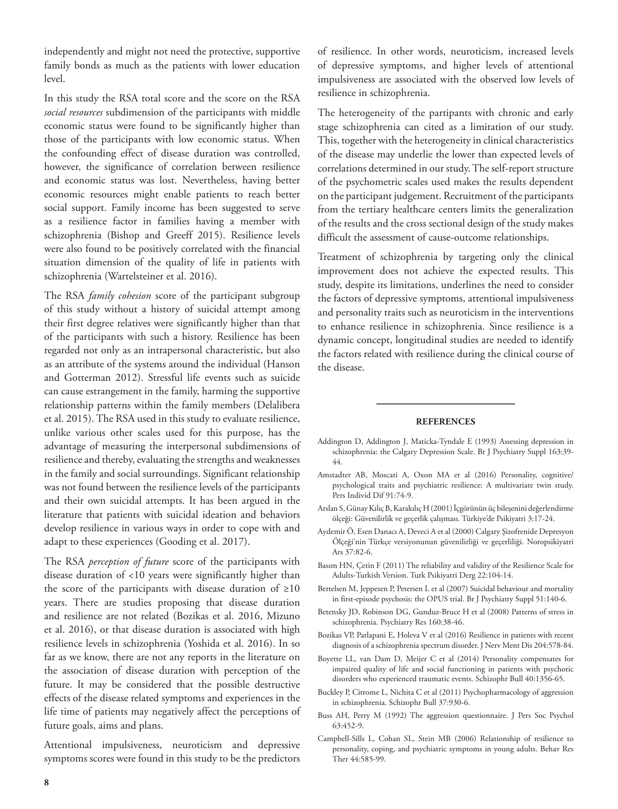independently and might not need the protective, supportive family bonds as much as the patients with lower education level.

In this study the RSA total score and the score on the RSA *social resources* subdimension of the participants with middle economic status were found to be significantly higher than those of the participants with low economic status. When the confounding effect of disease duration was controlled, however, the significance of correlation between resilience and economic status was lost. Nevertheless, having better economic resources might enable patients to reach better social support. Family income has been suggested to serve as a resilience factor in families having a member with schizophrenia (Bishop and Greeff 2015). Resilience levels were also found to be positively correlated with the financial situation dimension of the quality of life in patients with schizophrenia (Wartelsteiner et al. 2016).

The RSA *family cohesion* score of the participant subgroup of this study without a history of suicidal attempt among their first degree relatives were significantly higher than that of the participants with such a history. Resilience has been regarded not only as an intrapersonal characteristic, but also as an attribute of the systems around the individual (Hanson and Gotterman 2012). Stressful life events such as suicide can cause estrangement in the family, harming the supportive relationship patterns within the family members (Delalibera et al. 2015). The RSA used in this study to evaluate resilience, unlike various other scales used for this purpose, has the advantage of measuring the interpersonal subdimensions of resilience and thereby, evaluating the strengths and weaknesses in the family and social surroundings. Significant relationship was not found between the resilience levels of the participants and their own suicidal attempts. It has been argued in the literature that patients with suicidal ideation and behaviors develop resilience in various ways in order to cope with and adapt to these experiences (Gooding et al. 2017).

The RSA *perception of future* score of the participants with disease duration of <10 years were significantly higher than the score of the participants with disease duration of ≥10 years. There are studies proposing that disease duration and resilience are not related (Bozikas et al. 2016, Mizuno et al. 2016), or that disease duration is associated with high resilience levels in schizophrenia (Yoshida et al. 2016). In so far as we know, there are not any reports in the literature on the association of disease duration with perception of the future. It may be considered that the possible destructive effects of the disease related symptoms and experiences in the life time of patients may negatively affect the perceptions of future goals, aims and plans.

Attentional impulsiveness, neuroticism and depressive symptoms scores were found in this study to be the predictors

of resilience. In other words, neuroticism, increased levels of depressive symptoms, and higher levels of attentional impulsiveness are associated with the observed low levels of resilience in schizophrenia.

The heterogeneity of the partipants with chronic and early stage schizophrenia can cited as a limitation of our study. This, together with the heterogeneity in clinical characteristics of the disease may underlie the lower than expected levels of correlations determined in our study. The self-report structure of the psychometric scales used makes the results dependent on the participant judgement. Recruitment of the participants from the tertiary healthcare centers limits the generalization of the results and the cross sectional design of the study makes difficult the assessment of cause-outcome relationships.

Treatment of schizophrenia by targeting only the clinical improvement does not achieve the expected results. This study, despite its limitations, underlines the need to consider the factors of depressive symptoms, attentional impulsiveness and personality traits such as neuroticism in the interventions to enhance resilience in schizophrenia. Since resilience is a dynamic concept, longitudinal studies are needed to identify the factors related with resilience during the clinical course of the disease.

#### **REFERENCES**

- Addington D, Addington J, Maticka-Tyndale E (1993) Assessing depression in schizophrenia: the Calgary Depression Scale. Br J Psychiatry Suppl 163:39- 44.
- Amstadter AB, Moscati A, Oxon MA et al (2016) Personality, cognitive/ psychological traits and psychiatric resilience: A multivariate twin study. Pers Individ Dif 91:74-9.
- Arslan S, Günay Kılıç B, Karakılıç H (2001) İçgörünün üç bileşenini değerlendirme ölçeği: Güvenilirlik ve geçerlik çalışması. Türkiye'de Psikiyatri 3:17-24.
- Aydemir Ö, Esen Danacı A, Deveci A et al (2000) Calgary Şizofrenide Depresyon Ölçeği'nin Türkçe versiyonunun güvenilirliği ve geçerliliği. Noropsikiyatri Ars 37:82-6.
- Basım HN, Çetin F (2011) The reliability and validity of the Resilience Scale for Adults-Turkish Version. Turk Psikiyatri Derg 22:104-14.
- Bertelsen M, Jeppesen P, Petersen L et al (2007) Suicidal behaviour and mortality in first-episode psychosis: the OPUS trial. Br J Psychiatry Suppl 51:140-6.
- Betensky JD, Robinson DG, Gunduz-Bruce H et al (2008) Patterns of stress in schizophrenia. Psychiatry Res 160:38-46.
- Bozikas VP, Parlapani E, Holeva V et al (2016) Resilience in patients with recent diagnosis of a schizophrenia spectrum disorder. J Nerv Ment Dis 204:578-84.
- Boyette LL, van Dam D, Meijer C et al (2014) Personality compensates for impaired quality of life and social functioning in patients with psychotic disorders who experienced traumatic events. Schizophr Bull 40:1356-65.
- Buckley P, Citrome L, Nichita C et al (2011) Psychopharmacology of aggression in schizophrenia. Schizophr Bull 37:930-6.
- Buss AH, Perry M (1992) The aggression questionnaire. J Pers Soc Psychol 63:452-9.
- Campbell-Sills L, Cohan SL, Stein MB (2006) Relationship of resilience to personality, coping, and psychiatric symptoms in young adults. Behav Res Ther 44:585-99.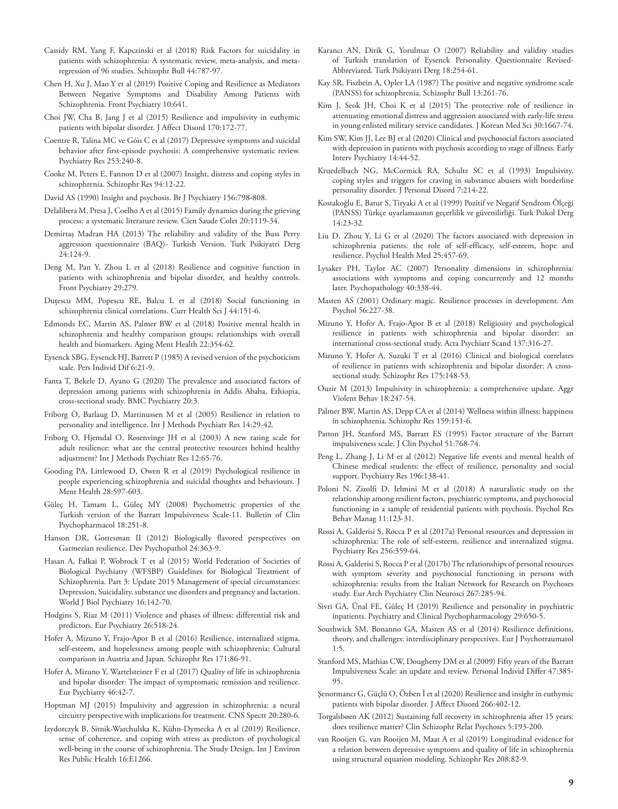- Cassidy RM, Yang F, Kapczinski et al (2018) Risk Factors for suicidality in patients with schizophrenia: A systematic review, meta-analysis, and metaregression of 96 studies. Schizophr Bull 44:787-97.
- Chen H, Xu J, Mao Y et al (2019) Positive Coping and Resilience as Mediators Between Negative Symptoms and Disability Among Patients with Schizophrenia. Front Psychiatry 10:641.
- Choi JW, Cha B, Jang J et al (2015) Resilience and impulsivity in euthymic patients with bipolar disorder. J Affect Disord 170:172-77.
- Coentre R, Talina MC ve Góis C et al (2017) Depressive symptoms and suicidal behavior after first-episode psychosis: A comprehensive systematic review. Psychiatry Res 253:240-8.
- Cooke M, Peters E, Fannon D et al (2007) Insight, distress and coping styles in schizophrenia. Schizophr Res 94:12-22.

David AS (1990) Insight and psychosis. Br J Psychiatry 156:798-808.

- Delalibera M, Presa J, Coelho A et al (2015) Family dynamics during the grieving process: a systematic literature review. Cien Saude Colet 20:1119-34.
- Demirtaş Madran HA (2013) The reliability and validity of the Buss Perry aggression questionnaire (BAQ)- Turkish Version. Turk Psikiyatri Derg 24:124-9.
- Deng M, Pan Y, Zhou L et al (2018) Resilience and cognitive function in patients with schizophrenia and bipolar disorder, and healthy controls. Front Psychiatry 29:279.
- Duțescu MM, Popescu RE, Balcu L et al (2018) Social functioning in schizophrenia clinical correlations. Curr Health Sci J 44:151-6.
- Edmonds EC, Martin AS, Palmer BW et al (2018) Positive mental health in schizophrenia and healthy comparison groups: relationships with overall health and biomarkers. Aging Ment Health 22:354-62.
- Eysenck SBG, Eysenck HJ, Barrett P (1985) A revised version of the psychoticism scale. Pers Individ Dif 6:21-9.
- Fanta T, Bekele D, Ayano G (2020) The prevalence and associated factors of depression among patients with schizophrenia in Addis Ababa, Ethiopia, cross-sectional study. BMC Psychiatry 20:3.
- Friborg O, Barlaug D, Martinussen M et al (2005) Resilience in relation to personality and intelligence. Int J Methods Psychiatr Res 14:29-42.
- Friborg O, Hjemdal O, Rosenvinge JH et al (2003) A new rating scale for adult resilience: what are the central protective resources behind healthy adjustment? Int J Methods Psychiatr Res 12:65-76.
- Gooding PA, Littlewood D, Owen R et al (2019) Psychological resilience in people experiencing schizophrenia and suicidal thoughts and behaviours. J Ment Health 28:597-603.
- Güleç H, Tamam L, Güleç MY (2008) Psychometric properties of the Turkish version of the Barratt Impulsiveness Scale-11. Bulletin of Clin Psychopharmacol 18:251-8.
- Hanson DR, Gottesman II (2012) Biologically flavored perspectives on Garmezian resilience. Dev Psychopathol 24:363-9.
- Hasan A, Falkai P, Wobrock T et al (2015) World Federation of Societies of Biological Psychiatry (WFSBP) Guidelines for Biological Treatment of Schizophrenia. Part 3: Update 2015 Management of special circumstances: Depression, Suicidality, substance use disorders and pregnancy and lactation. World J Biol Psychiatry 16:142-70.
- Hodgins S, Riaz M (2011) Violence and phases of illness: differential risk and predictors. Eur Psychiatry 26:518-24.
- Hofer A, Mizuno Y, Frajo-Apor B et al (2016) Resilience, internalized stigma, self-esteem, and hopelessness among people with schizophrenia: Cultural comparison in Austria and Japan. Schizophr Res 171:86-91.
- Hofer A, Mizuno Y, Wartelsteiner F et al (2017) Quality of life in schizophrenia and bipolar disorder: The impact of symptomatic remission and resilience. Eur Psychiatry 46:42-7.
- Hoptman MJ (2015) Impulsivity and aggression in schizophrenia: a neural circuitry perspective with implications for treatment. CNS Spectr 20:280-6.
- Izydorczyk B, Sitnik-Warchulska K, Kühn-Dymecka A et al (2019) Resilience, sense of coherence, and coping with stress as predictors of psychological well-being in the course of schizophrenia. The Study Design. Int J Environ Res Public Health 16:E1266.
- Karancı AN, Dirik G, Yorulmaz O (2007) Reliability and validity studies of Turkish translation of Eysenck Personality Questionnaire Revised-Abbreviated. Turk Psikiyatri Derg 18:254-61.
- Kay SR, Fiszbein A, Opler LA (1987) The positive and negative syndrome scale (PANSS) for schizophrenia. Schizophr Bull 13:261-76.
- Kim J, Seok JH, Choi K et al (2015) The protective role of resilience in attenuating emotional distress and aggression associated with early-life stress in young enlisted military service candidates. J Korean Med Sci 30:1667-74.
- Kim SW, Kim JJ, Lee BJ et al (2020) Clinical and psychosocial factors associated with depression in patients with psychosis according to stage of illness. Early Interv Psychiatry 14:44-52.
- Kruedelbach NG, McCormick RA, Schultz SC et al (1993) Impulsivity, coping styles and triggers for craving in substance abusers with borderline personality disorder. J Personal Disord 7:214-22.
- Kostakoğlu E, Batur S, Tiryaki A et al (1999) Pozitif ve Negatif Sendrom Ölçeği (PANSS) Türkçe uyarlamasının geçerlilik ve güvenilirliği. Turk Psikol Derg 14:23-32.
- Liu D, Zhou Y, Li G et al (2020) The factors associated with depression in schizophrenia patients: the role of self-efficacy, self-esteem, hope and resilience. Psychol Health Med 25:457-69.
- Lysaker PH, Taylor AC (2007) Personality dimensions in schizophrenia: associations with symptoms and coping concurrently and 12 months later. Psychopathology 40:338-44.
- Masten AS (2001) Ordinary magic. Resilience processes in development. Am Psychol 56:227-38.
- Mizuno Y, Hofer A, Frajo-Apor B et al (2018) Religiosity and psychological resilience in patients with schizophrenia and bipolar disorder: an international cross-sectional study. Acta Psychiatr Scand 137:316-27.
- Mizuno Y, Hofer A, Suzuki T et al (2016) Clinical and biological correlates of resilience in patients with schizophrenia and bipolar disorder: A crosssectional study. Schizophr Res 175:148-53.
- Ouzir M (2013) Impulsivity in schizophrenia: a comprehensive update. Aggr Violent Behav 18:247-54.
- Palmer BW, Martin AS, Depp CA et al (2014) Wellness within illness: happiness in schizophrenia. Schizophr Res 159:151-6.
- Patton JH, Stanford MS, Barratt ES (1995) Factor structure of the Barratt impulsiveness scale. J Clin Psychol 51:768-74.
- Peng L, Zhang J, Li M et al (2012) Negative life events and mental health of Chinese medical students: the effect of resilience, personality and social support. Psychiatry Res 196:138-41.
- Poloni N, Zizolfi D, Ielmini M et al (2018) A naturalistic study on the relationship among resilient factors, psychiatric symptoms, and psychosocial functioning in a sample of residential patients with psychosis. Psychol Res Behav Manag 11:123-31.
- Rossi A, Galderisi S, Rocca P et al (2017a) Personal resources and depression in schizophrenia: The role of self-esteem, resilience and internalized stigma. Psychiatry Res 256:359-64.
- Rossi A, Galderisi S, Rocca P et al (2017b) The relationships of personal resources with symptom severity and psychosocial functioning in persons with schizophrenia: results from the Italian Network for Research on Psychoses study. Eur Arch Psychiatry Clin Neurosci 267:285-94.
- Sivri GA, Ünal FE, Güleç H (2019) Resilience and personality in psychiatric inpatients. Psychiatry and Clinical Psychopharmacology 29:650-5.
- Southwick SM, Bonanno GA, Masten AS et al (2014) Resilience definitions, theory, and challenges: interdisciplinary perspectives. Eur J Psychotraumatol 1:5.
- Stanford MS, Mathias CW, Dougherty DM et al (2009) Fifty years of the Barratt Impulsiveness Scale: an update and review. Personal Individ Differ 47:385- 95.
- Şenormancı G, Güçlü O, Özben İ et al (2020) Resilience and insight in euthymic patients with bipolar disorder. J Affect Disord 266:402-12.
- Torgalsbøen AK (2012) Sustaining full recovery in schizophrenia after 15 years: does resilience matter? Clin Schizophr Relat Psychoses 5:193-200.
- van Rooijen G, van Rooijen M, Maat A et al (2019) Longitudinal evidence for a relation between depressive symptoms and quality of life in schizophrenia using structural equation modeling. Schizophr Res 208:82-9.